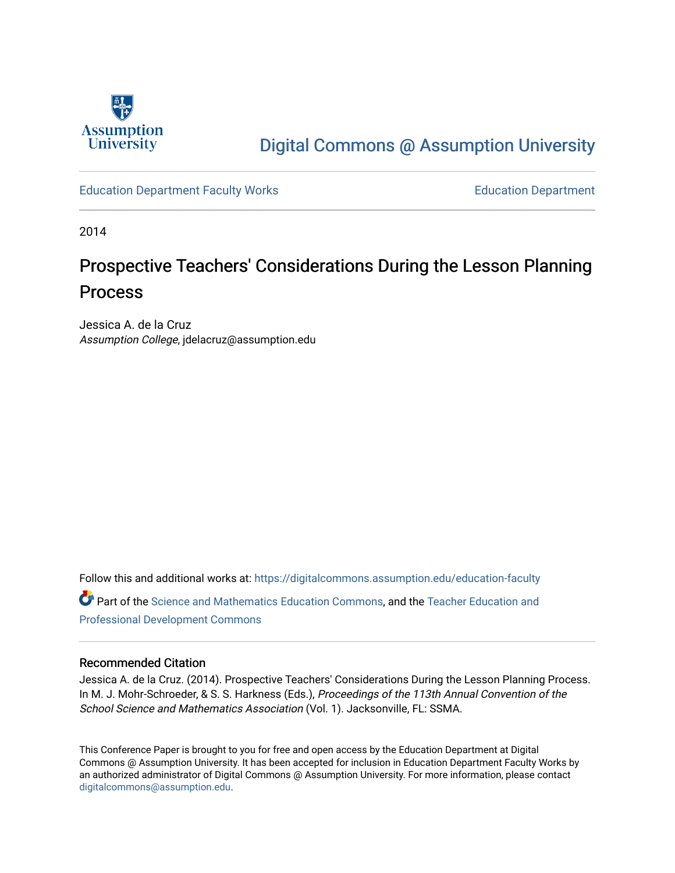

# [Digital Commons @ Assumption University](https://digitalcommons.assumption.edu/)

[Education Department Faculty Works](https://digitalcommons.assumption.edu/education-faculty) [Education Department](https://digitalcommons.assumption.edu/education) 

2014

# Prospective Teachers' Considerations During the Lesson Planning Process

Jessica A. de la Cruz Assumption College, jdelacruz@assumption.edu

Follow this and additional works at: [https://digitalcommons.assumption.edu/education-faculty](https://digitalcommons.assumption.edu/education-faculty?utm_source=digitalcommons.assumption.edu%2Feducation-faculty%2F3&utm_medium=PDF&utm_campaign=PDFCoverPages)  Part of the [Science and Mathematics Education Commons,](http://network.bepress.com/hgg/discipline/800?utm_source=digitalcommons.assumption.edu%2Feducation-faculty%2F3&utm_medium=PDF&utm_campaign=PDFCoverPages) and the [Teacher Education and](http://network.bepress.com/hgg/discipline/803?utm_source=digitalcommons.assumption.edu%2Feducation-faculty%2F3&utm_medium=PDF&utm_campaign=PDFCoverPages) [Professional Development Commons](http://network.bepress.com/hgg/discipline/803?utm_source=digitalcommons.assumption.edu%2Feducation-faculty%2F3&utm_medium=PDF&utm_campaign=PDFCoverPages)

# Recommended Citation

Jessica A. de la Cruz. (2014). Prospective Teachers' Considerations During the Lesson Planning Process. In M. J. Mohr-Schroeder, & S. S. Harkness (Eds.), Proceedings of the 113th Annual Convention of the School Science and Mathematics Association (Vol. 1). Jacksonville, FL: SSMA.

This Conference Paper is brought to you for free and open access by the Education Department at Digital Commons @ Assumption University. It has been accepted for inclusion in Education Department Faculty Works by an authorized administrator of Digital Commons @ Assumption University. For more information, please contact [digitalcommons@assumption.edu](mailto:digitalcommons@assumption.edu).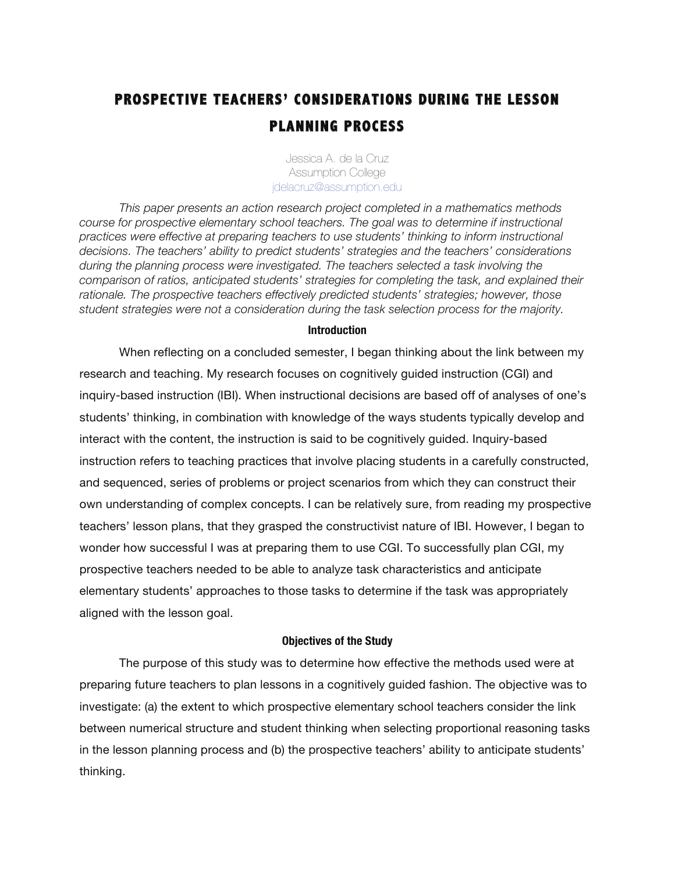# **PROSPECTIVE TEACHERS' CONSIDERATIONS DURING THE LESSON PLANNING PROCESS**

Jessica A. de la Cruz Assumption College jdelacruz@assumption.edu

*This paper presents an action research project completed in a mathematics methods course for prospective elementary school teachers. The goal was to determine if instructional practices were effective at preparing teachers to use students' thinking to inform instructional decisions. The teachers' ability to predict students' strategies and the teachers' considerations during the planning process were investigated. The teachers selected a task involving the comparison of ratios, anticipated students' strategies for completing the task, and explained their rationale. The prospective teachers effectively predicted students' strategies; however, those student strategies were not a consideration during the task selection process for the majority.*

### **Introduction**

When reflecting on a concluded semester, I began thinking about the link between my research and teaching. My research focuses on cognitively guided instruction (CGI) and inquiry-based instruction (IBI). When instructional decisions are based off of analyses of one's students' thinking, in combination with knowledge of the ways students typically develop and interact with the content, the instruction is said to be cognitively guided. Inquiry-based instruction refers to teaching practices that involve placing students in a carefully constructed, and sequenced, series of problems or project scenarios from which they can construct their own understanding of complex concepts. I can be relatively sure, from reading my prospective teachers' lesson plans, that they grasped the constructivist nature of IBI. However, I began to wonder how successful I was at preparing them to use CGI. To successfully plan CGI, my prospective teachers needed to be able to analyze task characteristics and anticipate elementary students' approaches to those tasks to determine if the task was appropriately aligned with the lesson goal.

### **Objectives of the Study**

The purpose of this study was to determine how effective the methods used were at preparing future teachers to plan lessons in a cognitively guided fashion. The objective was to investigate: (a) the extent to which prospective elementary school teachers consider the link between numerical structure and student thinking when selecting proportional reasoning tasks in the lesson planning process and (b) the prospective teachers' ability to anticipate students' thinking.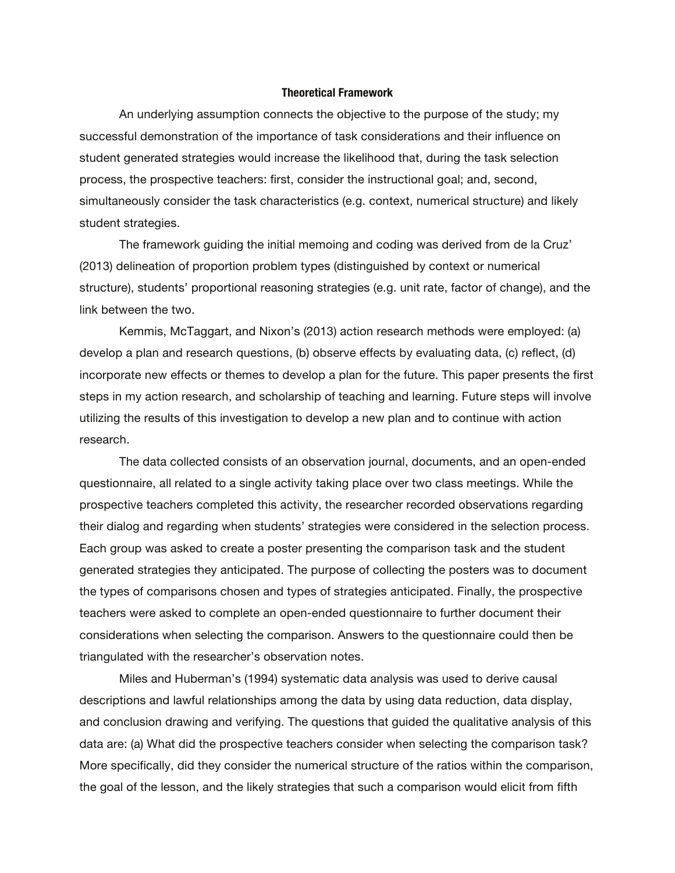#### **Theoretical Framework**

An underlying assumption connects the objective to the purpose of the study; my successful demonstration of the importance of task considerations and their influence on student generated strategies would increase the likelihood that, during the task selection process, the prospective teachers: first, consider the instructional goal; and, second, simultaneously consider the task characteristics (e.g. context, numerical structure) and likely student strategies.

The framework guiding the initial memoing and coding was derived from de la Cruz' (2013) delineation of proportion problem types (distinguished by context or numerical structure), students' proportional reasoning strategies (e.g. unit rate, factor of change), and the link between the two.

Kemmis, McTaggart, and Nixon's (2013) action research methods were employed: (a) develop a plan and research questions, (b) observe effects by evaluating data, (c) reflect, (d) incorporate new effects or themes to develop a plan for the future. This paper presents the first steps in my action research, and scholarship of teaching and learning. Future steps will involve utilizing the results of this investigation to develop a new plan and to continue with action research.

The data collected consists of an observation journal, documents, and an open-ended questionnaire, all related to a single activity taking place over two class meetings. While the prospective teachers completed this activity, the researcher recorded observations regarding their dialog and regarding when students' strategies were considered in the selection process. Each group was asked to create a poster presenting the comparison task and the student generated strategies they anticipated. The purpose of collecting the posters was to document the types of comparisons chosen and types of strategies anticipated. Finally, the prospective teachers were asked to complete an open-ended questionnaire to further document their considerations when selecting the comparison. Answers to the questionnaire could then be triangulated with the researcher's observation notes.

Miles and Huberman's (1994) systematic data analysis was used to derive causal descriptions and lawful relationships among the data by using data reduction, data display, and conclusion drawing and verifying. The questions that guided the qualitative analysis of this data are: (a) What did the prospective teachers consider when selecting the comparison task? More specifically, did they consider the numerical structure of the ratios within the comparison, the goal of the lesson, and the likely strategies that such a comparison would elicit from fifth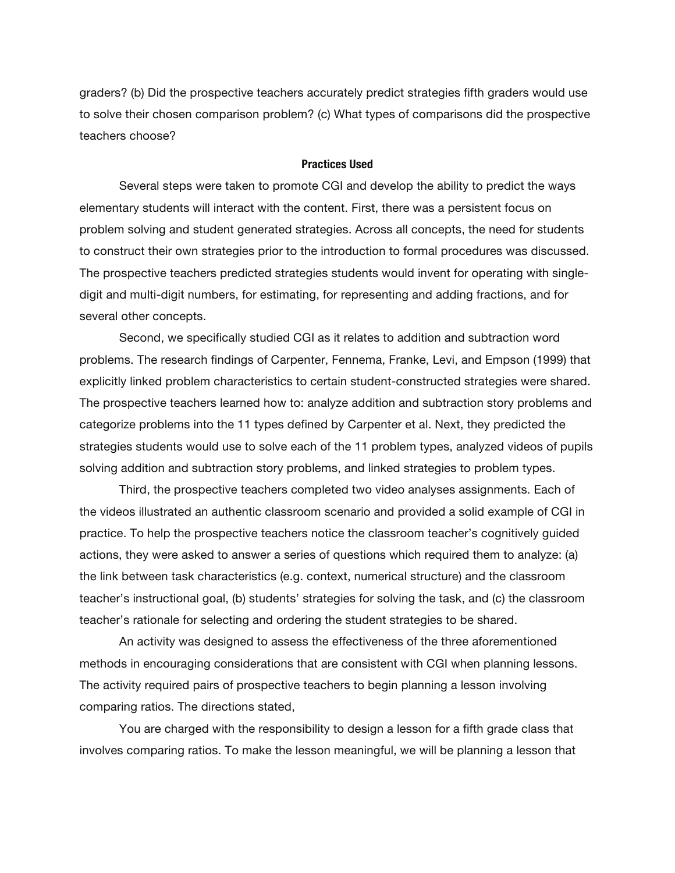graders? (b) Did the prospective teachers accurately predict strategies fifth graders would use to solve their chosen comparison problem? (c) What types of comparisons did the prospective teachers choose?

### **Practices Used**

Several steps were taken to promote CGI and develop the ability to predict the ways elementary students will interact with the content. First, there was a persistent focus on problem solving and student generated strategies. Across all concepts, the need for students to construct their own strategies prior to the introduction to formal procedures was discussed. The prospective teachers predicted strategies students would invent for operating with singledigit and multi-digit numbers, for estimating, for representing and adding fractions, and for several other concepts.

Second, we specifically studied CGI as it relates to addition and subtraction word problems. The research findings of Carpenter, Fennema, Franke, Levi, and Empson (1999) that explicitly linked problem characteristics to certain student-constructed strategies were shared. The prospective teachers learned how to: analyze addition and subtraction story problems and categorize problems into the 11 types defined by Carpenter et al. Next, they predicted the strategies students would use to solve each of the 11 problem types, analyzed videos of pupils solving addition and subtraction story problems, and linked strategies to problem types.

Third, the prospective teachers completed two video analyses assignments. Each of the videos illustrated an authentic classroom scenario and provided a solid example of CGI in practice. To help the prospective teachers notice the classroom teacher's cognitively guided actions, they were asked to answer a series of questions which required them to analyze: (a) the link between task characteristics (e.g. context, numerical structure) and the classroom teacher's instructional goal, (b) students' strategies for solving the task, and (c) the classroom teacher's rationale for selecting and ordering the student strategies to be shared.

An activity was designed to assess the effectiveness of the three aforementioned methods in encouraging considerations that are consistent with CGI when planning lessons. The activity required pairs of prospective teachers to begin planning a lesson involving comparing ratios. The directions stated,

You are charged with the responsibility to design a lesson for a fifth grade class that involves comparing ratios. To make the lesson meaningful, we will be planning a lesson that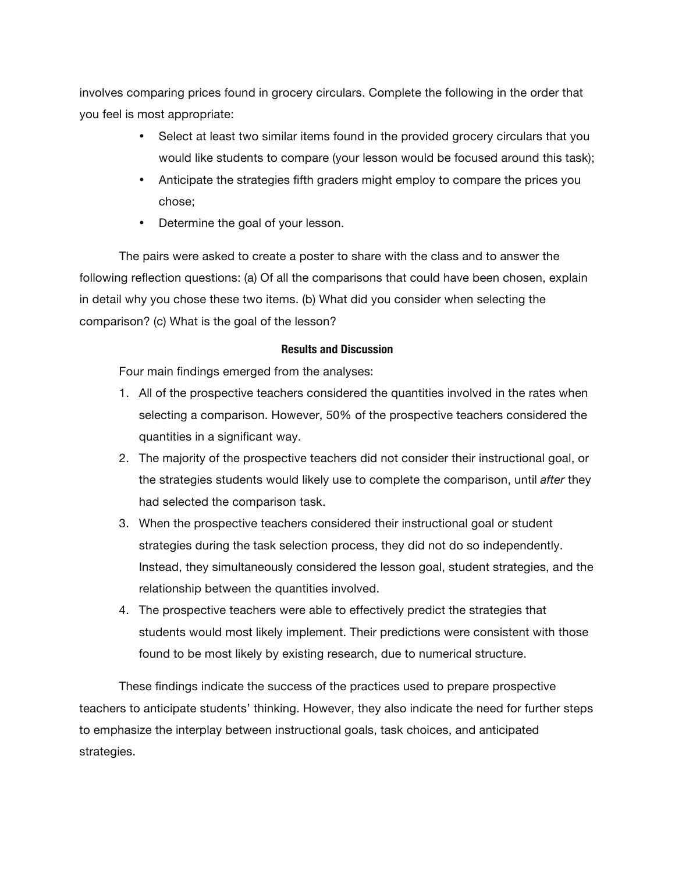involves comparing prices found in grocery circulars. Complete the following in the order that you feel is most appropriate:

- Select at least two similar items found in the provided grocery circulars that you would like students to compare (your lesson would be focused around this task);
- Anticipate the strategies fifth graders might employ to compare the prices you chose;
- Determine the goal of your lesson.

The pairs were asked to create a poster to share with the class and to answer the following reflection questions: (a) Of all the comparisons that could have been chosen, explain in detail why you chose these two items. (b) What did you consider when selecting the comparison? (c) What is the goal of the lesson?

# **Results and Discussion**

Four main findings emerged from the analyses:

- 1. All of the prospective teachers considered the quantities involved in the rates when selecting a comparison. However, 50% of the prospective teachers considered the quantities in a significant way.
- 2. The majority of the prospective teachers did not consider their instructional goal, or the strategies students would likely use to complete the comparison, until *after* they had selected the comparison task.
- 3. When the prospective teachers considered their instructional goal or student strategies during the task selection process, they did not do so independently. Instead, they simultaneously considered the lesson goal, student strategies, and the relationship between the quantities involved.
- 4. The prospective teachers were able to effectively predict the strategies that students would most likely implement. Their predictions were consistent with those found to be most likely by existing research, due to numerical structure.

These findings indicate the success of the practices used to prepare prospective teachers to anticipate students' thinking. However, they also indicate the need for further steps to emphasize the interplay between instructional goals, task choices, and anticipated strategies.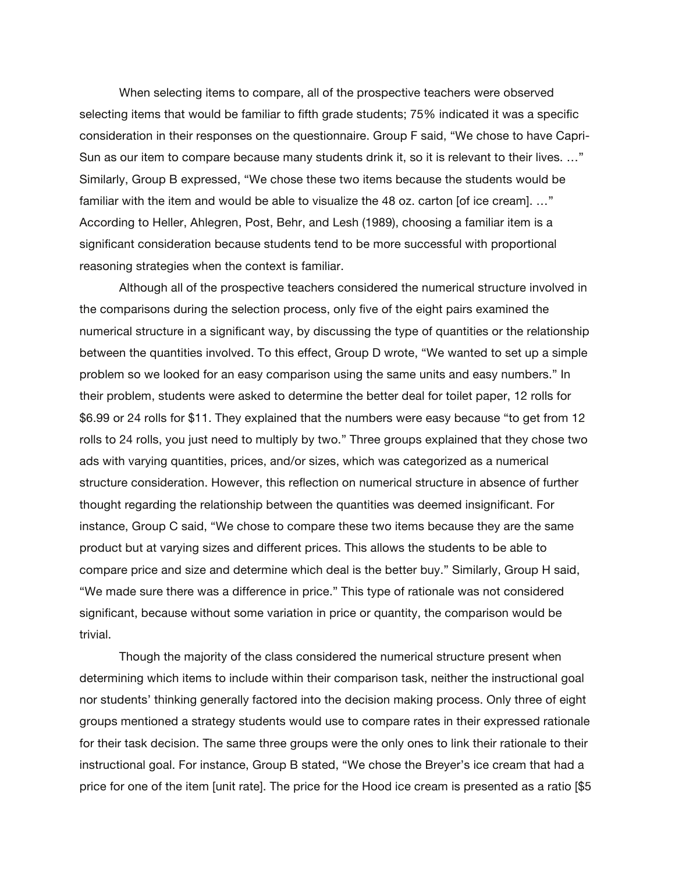When selecting items to compare, all of the prospective teachers were observed selecting items that would be familiar to fifth grade students; 75% indicated it was a specific consideration in their responses on the questionnaire. Group F said, "We chose to have Capri-Sun as our item to compare because many students drink it, so it is relevant to their lives. …" Similarly, Group B expressed, "We chose these two items because the students would be familiar with the item and would be able to visualize the 48 oz. carton [of ice cream]. ..." According to Heller, Ahlegren, Post, Behr, and Lesh (1989), choosing a familiar item is a significant consideration because students tend to be more successful with proportional reasoning strategies when the context is familiar.

Although all of the prospective teachers considered the numerical structure involved in the comparisons during the selection process, only five of the eight pairs examined the numerical structure in a significant way, by discussing the type of quantities or the relationship between the quantities involved. To this effect, Group D wrote, "We wanted to set up a simple problem so we looked for an easy comparison using the same units and easy numbers." In their problem, students were asked to determine the better deal for toilet paper, 12 rolls for \$6.99 or 24 rolls for \$11. They explained that the numbers were easy because "to get from 12 rolls to 24 rolls, you just need to multiply by two." Three groups explained that they chose two ads with varying quantities, prices, and/or sizes, which was categorized as a numerical structure consideration. However, this reflection on numerical structure in absence of further thought regarding the relationship between the quantities was deemed insignificant. For instance, Group C said, "We chose to compare these two items because they are the same product but at varying sizes and different prices. This allows the students to be able to compare price and size and determine which deal is the better buy." Similarly, Group H said, "We made sure there was a difference in price." This type of rationale was not considered significant, because without some variation in price or quantity, the comparison would be trivial.

Though the majority of the class considered the numerical structure present when determining which items to include within their comparison task, neither the instructional goal nor students' thinking generally factored into the decision making process. Only three of eight groups mentioned a strategy students would use to compare rates in their expressed rationale for their task decision. The same three groups were the only ones to link their rationale to their instructional goal. For instance, Group B stated, "We chose the Breyer's ice cream that had a price for one of the item [unit rate]. The price for the Hood ice cream is presented as a ratio [\$5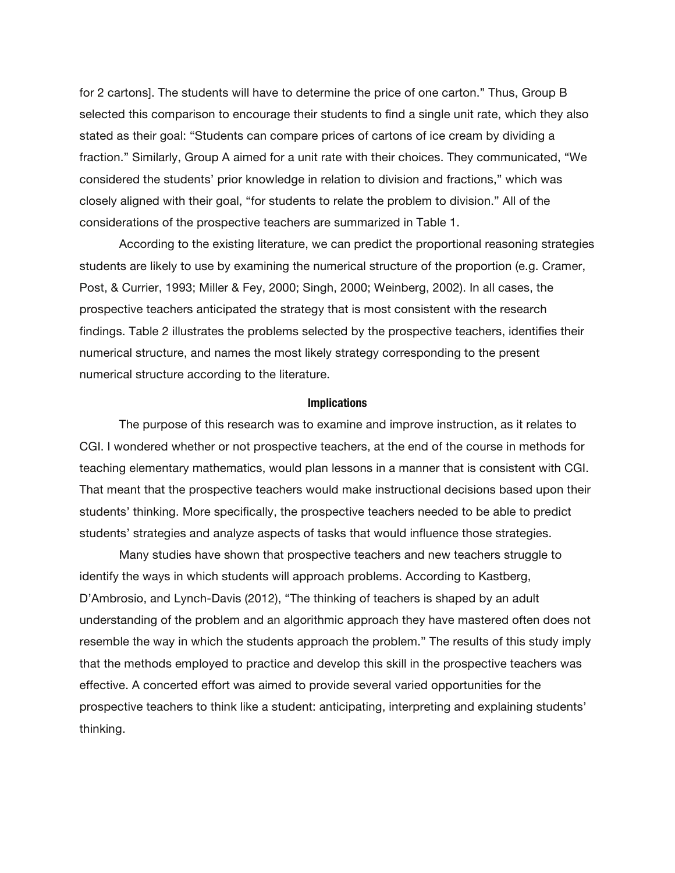for 2 cartons]. The students will have to determine the price of one carton." Thus, Group B selected this comparison to encourage their students to find a single unit rate, which they also stated as their goal: "Students can compare prices of cartons of ice cream by dividing a fraction." Similarly, Group A aimed for a unit rate with their choices. They communicated, "We considered the students' prior knowledge in relation to division and fractions," which was closely aligned with their goal, "for students to relate the problem to division." All of the considerations of the prospective teachers are summarized in Table 1.

According to the existing literature, we can predict the proportional reasoning strategies students are likely to use by examining the numerical structure of the proportion (e.g. Cramer, Post, & Currier, 1993; Miller & Fey, 2000; Singh, 2000; Weinberg, 2002). In all cases, the prospective teachers anticipated the strategy that is most consistent with the research findings. Table 2 illustrates the problems selected by the prospective teachers, identifies their numerical structure, and names the most likely strategy corresponding to the present numerical structure according to the literature.

### **Implications**

The purpose of this research was to examine and improve instruction, as it relates to CGI. I wondered whether or not prospective teachers, at the end of the course in methods for teaching elementary mathematics, would plan lessons in a manner that is consistent with CGI. That meant that the prospective teachers would make instructional decisions based upon their students' thinking. More specifically, the prospective teachers needed to be able to predict students' strategies and analyze aspects of tasks that would influence those strategies.

Many studies have shown that prospective teachers and new teachers struggle to identify the ways in which students will approach problems. According to Kastberg, D'Ambrosio, and Lynch-Davis (2012), "The thinking of teachers is shaped by an adult understanding of the problem and an algorithmic approach they have mastered often does not resemble the way in which the students approach the problem." The results of this study imply that the methods employed to practice and develop this skill in the prospective teachers was effective. A concerted effort was aimed to provide several varied opportunities for the prospective teachers to think like a student: anticipating, interpreting and explaining students' thinking.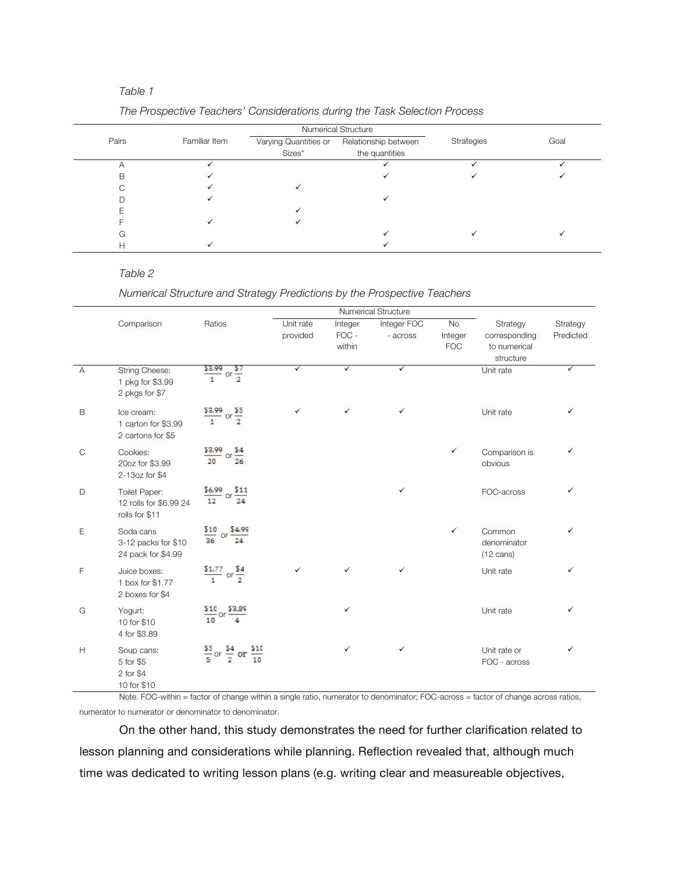### *Table 1*

|       | Familiar Item |                       | <b>Numerical Structure</b> |            | Goal |
|-------|---------------|-----------------------|----------------------------|------------|------|
| Pairs |               | Varying Quantities or | Relationship between       | Strategies |      |
|       |               | Sizes*                | the quantities             |            |      |
|       |               |                       |                            |            |      |
| в     |               |                       |                            |            |      |
|       |               |                       |                            |            |      |
|       |               |                       |                            |            |      |
|       |               |                       |                            |            |      |
|       |               |                       |                            |            |      |
| G     |               |                       |                            |            |      |
| Н     |               |                       |                            |            |      |

## *Table 2*

#### *Numerical Structure and Strategy Predictions by the Prospective Teachers*

|              |                                                           |                                                |           | <b>Numerical Structure</b> |              |              |                                              |           |
|--------------|-----------------------------------------------------------|------------------------------------------------|-----------|----------------------------|--------------|--------------|----------------------------------------------|-----------|
|              | Comparison                                                | Ratios                                         | Unit rate | Integer                    | Integer FOC  | <b>No</b>    | Strategy                                     | Strategy  |
|              |                                                           |                                                | provided  | FOC -                      | - across     | Integer      | corresponding                                | Predicted |
|              |                                                           |                                                |           | within                     |              | <b>FOC</b>   | to numerical                                 |           |
|              |                                                           |                                                |           |                            |              |              | structure                                    |           |
| A            | String Cheese:<br>1 pkg for \$3.99<br>2 pkgs for \$7      | $\frac{53.99}{1}$ or $\frac{57}{2}$            | ✓         | $\checkmark$               | ✓            |              | Unit rate                                    | ✓         |
| B            | Ice cream:<br>1 carton for \$3.99<br>2 cartons for \$5    | $\frac{$3.99}{1}$ or $\frac{$5}{2}$            | ✓         | $\checkmark$               | $\checkmark$ |              | Unit rate                                    | ✓         |
| $\mathsf{C}$ | Cookies:<br>20oz for \$3.99<br>2-13oz for \$4             | $\frac{$3.99}{$20}$ or $\frac{$4}{26}$         |           |                            |              | $\checkmark$ | Comparison is<br>obvious                     | ✓         |
| D            | Toilet Paper:<br>12 rolls for \$6.99 24<br>rolls for \$11 | $\frac{$6.99}{12}$ or $\frac{$11}{24}$         |           |                            | ✓            |              | FOC-across                                   | ✓         |
| E            | Soda cans<br>3-12 packs for \$10<br>24 pack for \$4.99    | $\frac{$10}{36}$<br>\$4,99<br><b>or</b><br>24  |           |                            |              | $\checkmark$ | Common<br>denominator<br>$(12 \text{ cans})$ | ✓         |
| F            | Juice boxes:<br>1 box for \$1.77<br>2 boxes for \$4       | $\frac{$1.77}{1}$ or $\frac{$4}{2}$            | ✓         | $\checkmark$               | $\checkmark$ |              | Unit rate                                    | ✓         |
| G            | Yogurt:<br>10 for \$10<br>4 for \$3.89                    | $\frac{$10}{10}$ or $\frac{$3.89}{4}$          |           | ✓                          |              |              | Unit rate                                    | ✓         |
| H            | Soup cans:<br>5 for \$5<br>2 for \$4<br>10 for \$10       | $rac{55}{5}$ or $rac{54}{2}$ or $rac{510}{10}$ |           | $\checkmark$               | $\checkmark$ |              | Unit rate or<br>FOC - across                 | ✓         |

Note. FOC-within = factor of change within a single ratio, numerator to denominator; FOC-across = factor of change across ratios, numerator to numerator or denominator to denominator.

On the other hand, this study demonstrates the need for further clarification related to lesson planning and considerations while planning. Reflection revealed that, although much time was dedicated to writing lesson plans (e.g. writing clear and measureable objectives,